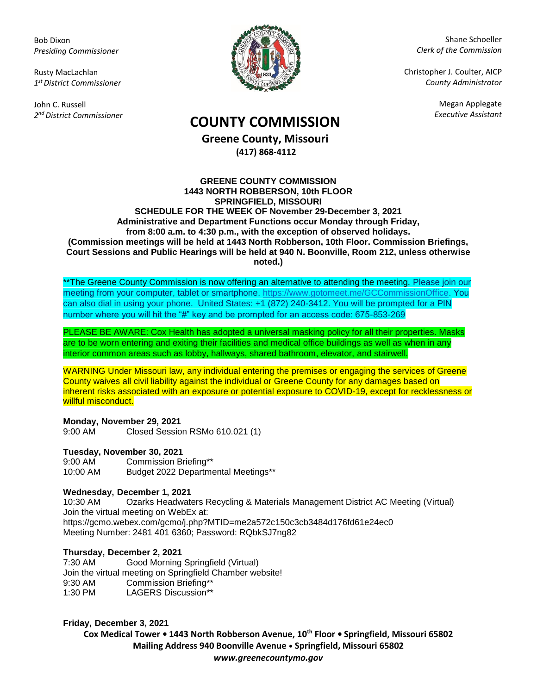Bob Dixon *Presiding Commissioner*

Rusty MacLachlan *1 st District Commissioner*

John C. Russell *2 nd District Commissioner*



Shane Schoeller *Clerk of the Commission*

Christopher J. Coulter, AICP *County Administrator*

Megan Applegate

# *Executive Assistant* **COUNTY COMMISSION**

**Greene County, Missouri (417) 868-4112**

### **GREENE COUNTY COMMISSION 1443 NORTH ROBBERSON, 10th FLOOR SPRINGFIELD, MISSOURI SCHEDULE FOR THE WEEK OF November 29-December 3, 2021 Administrative and Department Functions occur Monday through Friday, from 8:00 a.m. to 4:30 p.m., with the exception of observed holidays. (Commission meetings will be held at 1443 North Robberson, 10th Floor. Commission Briefings, Court Sessions and Public Hearings will be held at 940 N. Boonville, Room 212, unless otherwise noted.)**

\*\*The Greene County Commission is now offering an alternative to attending the meeting. Please join our meeting from your computer, tablet or smartphone. [https://www.gotomeet.me/GCCommissionOffice.](https://www.gotomeet.me/GCCommissionOffice) You can also dial in using your phone. United States: +1 (872) 240-3412. You will be prompted for a PIN number where you will hit the "#" key and be prompted for an access code: 675-853-269

PLEASE BE AWARE: Cox Health has adopted a universal masking policy for all their properties. Masks are to be worn entering and exiting their facilities and medical office buildings as well as when in any interior common areas such as lobby, hallways, shared bathroom, elevator, and stairwell.

WARNING Under Missouri law, any individual entering the premises or engaging the services of Greene County waives all civil liability against the individual or Greene County for any damages based on inherent risks associated with an exposure or potential exposure to COVID-19, except for recklessness or willful misconduct.

**Monday, November 29, 2021** 9:00 AM Closed Session RSMo 610.021 (1)

**Tuesday, November 30, 2021**

9:00 AM Commission Briefing\*\* 10:00 AM Budget 2022 Departmental Meetings\*\*

## **Wednesday, December 1, 2021**

10:30 AM Ozarks Headwaters Recycling & Materials Management District AC Meeting (Virtual) Join the virtual meeting on WebEx at: https://gcmo.webex.com/gcmo/j.php?MTID=me2a572c150c3cb3484d176fd61e24ec0 Meeting Number: 2481 401 6360; Password: RQbkSJ7ng82

## **Thursday, December 2, 2021**

7:30 AM Good Morning Springfield (Virtual) Join the virtual meeting on Springfield Chamber website! 9:30 AM Commission Briefing\*\* 1:30 PM LAGERS Discussion\*\*

## **Friday, December 3, 2021**

**Cox Medical Tower • 1443 North Robberson Avenue, 10th Floor • Springfield, Missouri 65802 Mailing Address 940 Boonville Avenue • Springfield, Missouri 65802** *www.greenecountymo.gov*